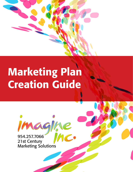

# Marketing Plan Creation Guide

agne

954.257.7066 21st Century Marketing Solutions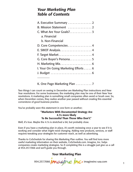## *Your Marketing Plan Table of Contents*

| A. Executive Summary 2               |
|--------------------------------------|
| B. Mission Statement  2              |
| C. What Are Your Goals? 3            |
| a. Financial                         |
| b. Non-Financial                     |
| D. Core Competencies 4               |
|                                      |
|                                      |
| G. Core Buyer's Persona 5            |
|                                      |
| I. Your On Going Marketing Efforts 6 |
|                                      |
|                                      |

K. One Page Marketing Plan . . . . . . . . . 7

Two things I can count on seeing in December are Marketing Plan instructions and New Year resolutions. For some businesses, the marketing plan may be one of their New Year resolutions. A marketing plan is something small companies often avoid or brush over. So, when December comes, they realize another year passed without creating this essential cornerstone of good business practice.

You've probably seen this statement in one form or another;

#### "Marketers With Documented Strategy Are 4.7x more likely To Be Successful Than Those Who Don't."

Well, it's true. Maybe the 4.7x is stretched a bit, but probably close.

Even if you have a marketing plan in place, it's worth reviewing once a year to see if it is working and consider what might need changing. Adding new products, services, or staff requires tweaking your strategies for customer reach, as well as advertising.

Thanks to CoSchedule for sharing this Marketing Plan outline. You will find tons more useful marketing information on their website, CoSchedule.com. Imagine, Inc. helps companies create marketing strategies. So if completing this is a struggle just give us a call at 954.257.7066 and we'll guide you through.

954.257.7066 Magine inc. imagineinc-usa.com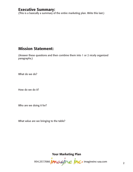## Executive Summary:

(This is a basically a summary of the entire marketing plan. Write this last.)

## Mission Statement:

(Answer these questions and then combine them into 1 or 2 nicely organized paragraphs.)

What do we do?

How do we do it?

Who are we doing it for?

What value are we bringing to the table?

954.257.7066 **Magine inc**oimagineinc-usa.com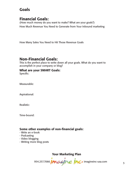## Goals

## Financial Goals:

(How much money do you want to make? What are your goals?) How Much Revenue You Need to Generate from Your Inbound marketing

How Many Sales You Need to Hit Those Revenue Goals

## Non-Financial Goals:

This is the perfect place to write down all your goals. What do you want to accomplish in your company or blog?

#### What are your SMART Goals:

Specific:

Measurable:

Aspirational:

Realistic:

Time-bound:

#### Some other examples of non-financial goals:

- Write an e-book
- Podcasting
- Video blogging
- Writing more blog posts

954.257.7066 **Magine Inc.** imagineinc-usa.com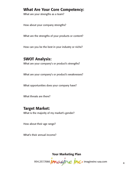## What Are Your Core Competency:

What are your strengths as a team?

How about your company strengths?

What are the strengths of your products or content?

How can you be the best in your industry or niche?

## SWOT Analysis:

What are your company's or product's strengths?

What are your company's or product's weaknesses?

What opportunities does your company have?

What threats are there?

## Target Market:

What is the majority of my market's gender?

How about their age range?

What's their annual income?

954.257.7066 **Magine Inc.** imagineinc-usa.com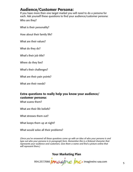## Audience/Customer Persona:

If you have more then one target market you will need to do a persona for each. Ask yourself these questions to find your audience/customer persona:

Who are they?

What is their personality?

How about their family life?

What are their values?

What do they do?

What's their job title?

Where do they live?

What's their challenges?

What are their pain points?

What are their needs?

#### Extra questions to really help you know your audience/ customer persona:

What scares them?

What are their life beliefs?

What stresses them out?

What keeps them up at night?

What would solve all their problems?

*(Once you've answered all these questions come up with an idea of who your persona is and type out who your persona is in paragraph form. Remember this is a fictional character that represents your audience and customers. Give them a name and find a picture online that will represent them.)*

954.257.7066 *Magine inc*o imagineinc-usa.com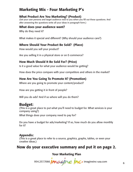## Marketing Mix - Four Marketing P's

#### What Product Are You Marketing? (Product)

(Set your user persona and target audience next to you when you fill out these questions. And after answering the questions write all your ideas in paragraph form.)

#### What does your audience want?

Why do they need it?

What makes it special and different? (Why should your audience care?)

#### Where Should Your Product Be Sold? (Place)

How would you sell your product?

Are you selling it in a physical store or on E-commerce?

#### How Much Should It Be Sold For? (Price)

Is it a good value for what your audience would be getting?

How does the price compare with your competitors and others in the market?

#### How Are You Going To Promote It? (Promotion)

Where are you going to promote your content/product?

How are you getting it in front of people?

Will you do ads? And if so where will you do them?

## Budget:

(This is a great place to put what you'll need to budget for. What services is your company using?)

What things does your company need to pay for?

Do you have a budget for ads/marketing? If so, how much do you allow monthly for it?

#### Appendix:

(This is a great place to refer to a source, graphics, graphs, tables, or even your creative ideas.)

## Now do your executive summary and put it on page 2.

954.257.7066 **Magine Inc.** imagineinc-usa.com 6